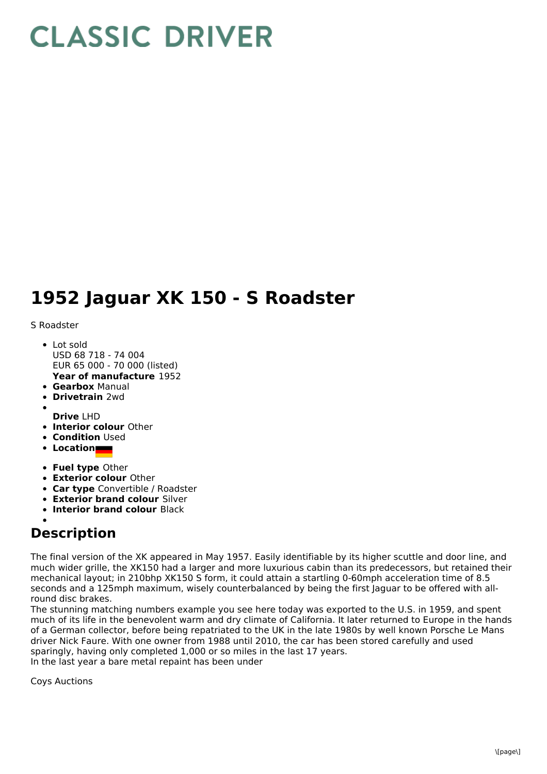## **CLASSIC DRIVER**

## **1952 Jaguar XK 150 - S Roadster**

S Roadster

- **Year of manufacture** 1952 • Lot sold USD 68 718 - 74 004 EUR 65 000 - 70 000 (listed)
- **Gearbox** Manual
- **Drivetrain** 2wd  $\bullet$
- **Drive** LHD
- **Interior colour** Other
- **Condition** Used
- **Location**
- **Fuel type** Other
- **Exterior colour** Other
- **Car type** Convertible / Roadster
- **Exterior brand colour** Silver
- **Interior brand colour** Black

## **Description**

The final version of the XK appeared in May 1957. Easily identifiable by its higher scuttle and door line, and much wider grille, the XK150 had a larger and more luxurious cabin than its predecessors, but retained their mechanical layout; in 210bhp XK150 S form, it could attain a startling 0-60mph acceleration time of 8.5 seconds and a 125mph maximum, wisely counterbalanced by being the first Jaguar to be offered with allround disc brakes.

The stunning matching numbers example you see here today was exported to the U.S. in 1959, and spent much of its life in the benevolent warm and dry climate of California. It later returned to Europe in the hands of a German collector, before being repatriated to the UK in the late 1980s by well known Porsche Le Mans driver Nick Faure. With one owner from 1988 until 2010, the car has been stored carefully and used sparingly, having only completed 1,000 or so miles in the last 17 years. In the last year a bare metal repaint has been under

Coys Auctions